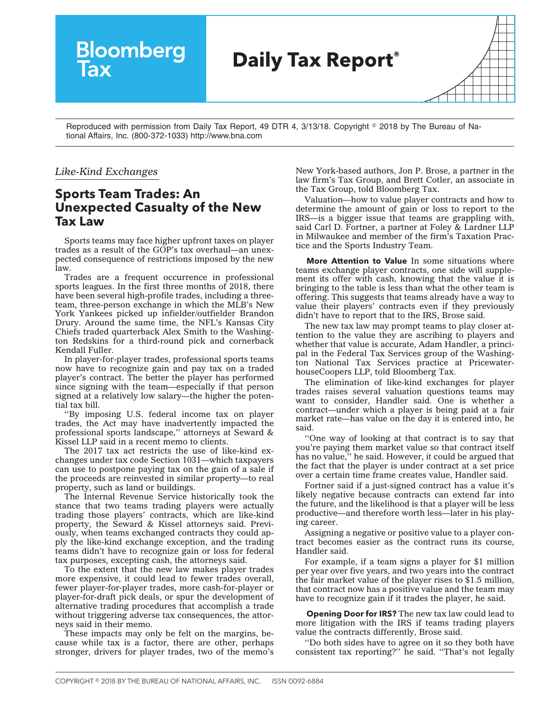

Reproduced with permission from Daily Tax Report, 49 DTR 4, 3/13/18. Copyright © 2018 by The Bureau of National Affairs, Inc. (800-372-1033) http://www.bna.com

## *Like-Kind Exchanges*

## **Sports Team Trades: An Unexpected Casualty of the New Tax Law**

Sports teams may face higher upfront taxes on player trades as a result of the GOP's tax overhaul—an unexpected consequence of restrictions imposed by the new law.

Trades are a frequent occurrence in professional sports leagues. In the first three months of 2018, there have been several high-profile trades, including a threeteam, three-person exchange in which the MLB's New York Yankees picked up infielder/outfielder Brandon Drury. Around the same time, the NFL's Kansas City Chiefs traded quarterback Alex Smith to the Washington Redskins for a third-round pick and cornerback Kendall Fuller.

In player-for-player trades, professional sports teams now have to recognize gain and pay tax on a traded player's contract. The better the player has performed since signing with the team—especially if that person signed at a relatively low salary—the higher the potential tax bill.

''By imposing U.S. federal income tax on player trades, the Act may have inadvertently impacted the professional sports landscape,'' attorneys at Seward & Kissel LLP said in a [recent memo](http://www.sewkis.com/pubs/xprPubDetail.aspx?xpST=PubDetail&pub=935) to clients.

The [2017 tax act](http://src.bna.com/vdP) restricts the use of like-kind exchanges under tax code Section 1031—which taxpayers can use to postpone paying tax on the gain of a sale if the proceeds are reinvested in similar property—to real property, such as land or buildings.

The Internal Revenue Service historically took the stance that two teams trading players were actually trading those players' contracts, which are like-kind property, the Seward & Kissel attorneys said. Previously, when teams exchanged contracts they could apply the like-kind exchange exception, and the trading teams didn't have to recognize gain or loss for federal tax purposes, excepting cash, the attorneys said.

To the extent that the new law makes player trades more expensive, it could lead to fewer trades overall, fewer player-for-player trades, more cash-for-player or player-for-draft pick deals, or spur the development of alternative trading procedures that accomplish a trade without triggering adverse tax consequences, the attorneys said in their memo.

These impacts may only be felt on the margins, because while tax is a factor, there are other, perhaps stronger, drivers for player trades, two of the memo's

New York-based authors, Jon P. Brose, a partner in the law firm's Tax Group, and Brett Cotler, an associate in the Tax Group, told Bloomberg Tax.

Valuation—how to value player contracts and how to determine the amount of gain or loss to report to the IRS—is a bigger issue that teams are grappling with, said Carl D. Fortner, a partner at Foley & Lardner LLP in Milwaukee and member of the firm's Taxation Practice and the Sports Industry Team.

**More Attention to Value** In some situations where teams exchange player contracts, one side will supplement its offer with cash, knowing that the value it is bringing to the table is less than what the other team is offering. This suggests that teams already have a way to value their players' contracts even if they previously didn't have to report that to the IRS, Brose said.

The new tax law may prompt teams to play closer attention to the value they are ascribing to players and whether that value is accurate, Adam Handler, a principal in the Federal Tax Services group of the Washington National Tax Services practice at PricewaterhouseCoopers LLP, told Bloomberg Tax.

The elimination of like-kind exchanges for player trades raises several valuation questions teams may want to consider, Handler said. One is whether a contract—under which a player is being paid at a fair market rate—has value on the day it is entered into, he said.

''One way of looking at that contract is to say that you're paying them market value so that contract itself has no value,'' he said. However, it could be argued that the fact that the player is under contract at a set price over a certain time frame creates value, Handler said.

Fortner said if a just-signed contract has a value it's likely negative because contracts can extend far into the future, and the likelihood is that a player will be less productive—and therefore worth less—later in his playing career.

Assigning a negative or positive value to a player contract becomes easier as the contract runs its course, Handler said.

For example, if a team signs a player for \$1 million per year over five years, and two years into the contract the fair market value of the player rises to \$1.5 million, that contract now has a positive value and the team may have to recognize gain if it trades the player, he said.

**Opening Door for IRS?** The new tax law could lead to more litigation with the IRS if teams trading players value the contracts differently, Brose said.

''Do both sides have to agree on it so they both have consistent tax reporting?'' he said. ''That's not legally